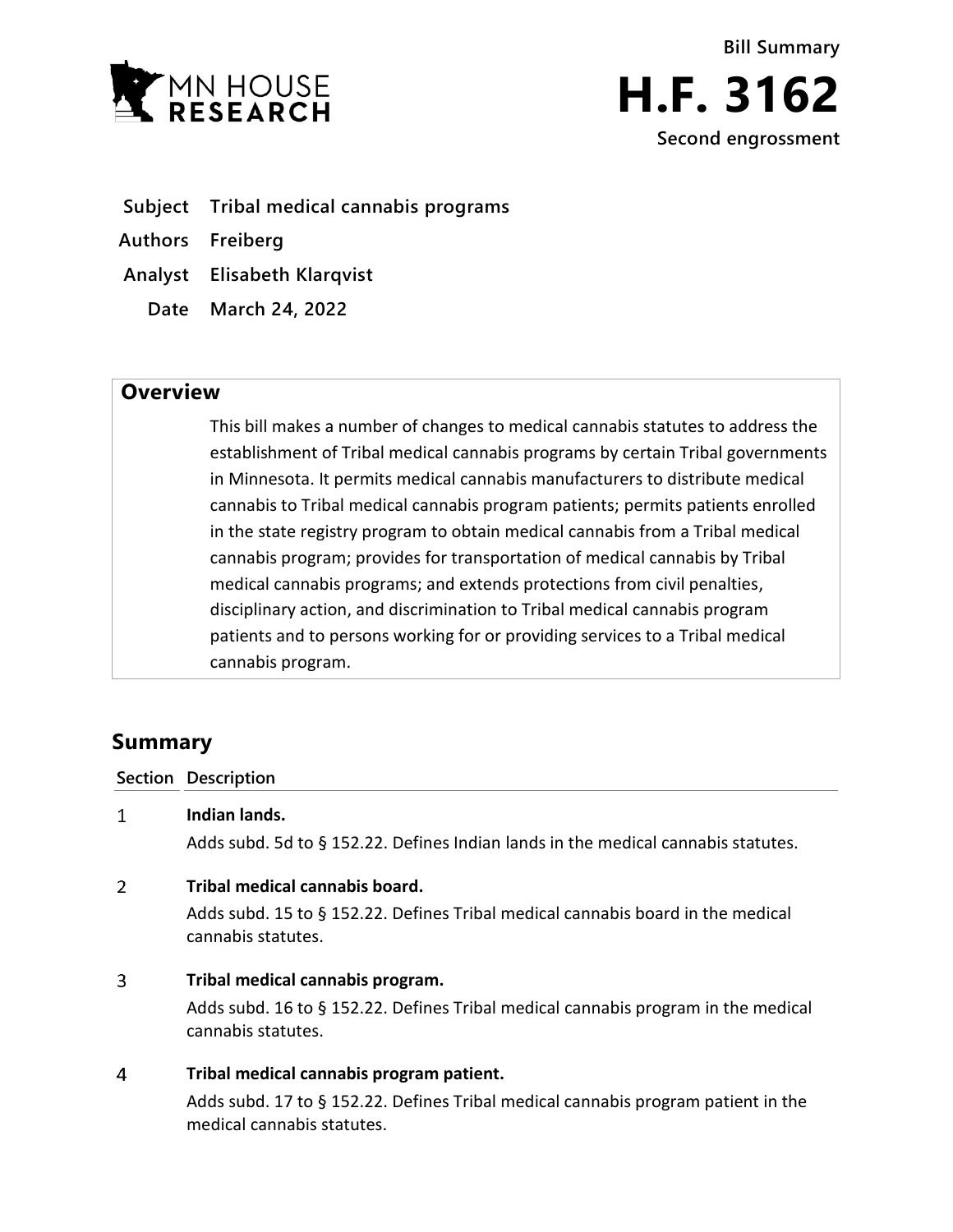



- **Subject Tribal medical cannabis programs**
- **Authors Freiberg**
- **Analyst Elisabeth Klarqvist**
	- **Date March 24, 2022**

## **Overview**

This bill makes a number of changes to medical cannabis statutes to address the establishment of Tribal medical cannabis programs by certain Tribal governments in Minnesota. It permits medical cannabis manufacturers to distribute medical cannabis to Tribal medical cannabis program patients; permits patients enrolled in the state registry program to obtain medical cannabis from a Tribal medical cannabis program; provides for transportation of medical cannabis by Tribal medical cannabis programs; and extends protections from civil penalties, disciplinary action, and discrimination to Tribal medical cannabis program patients and to persons working for or providing services to a Tribal medical cannabis program.

# **Summary**

### **Section Description**

 $\mathbf{1}$ **Indian lands.**

Adds subd. 5d to § 152.22. Defines Indian lands in the medical cannabis statutes.

#### $\overline{2}$ **Tribal medical cannabis board.**

Adds subd. 15 to § 152.22. Defines Tribal medical cannabis board in the medical cannabis statutes.

#### $\overline{3}$ **Tribal medical cannabis program.**

Adds subd. 16 to § 152.22. Defines Tribal medical cannabis program in the medical cannabis statutes.

#### $\overline{4}$ **Tribal medical cannabis program patient.**

Adds subd. 17 to § 152.22. Defines Tribal medical cannabis program patient in the medical cannabis statutes.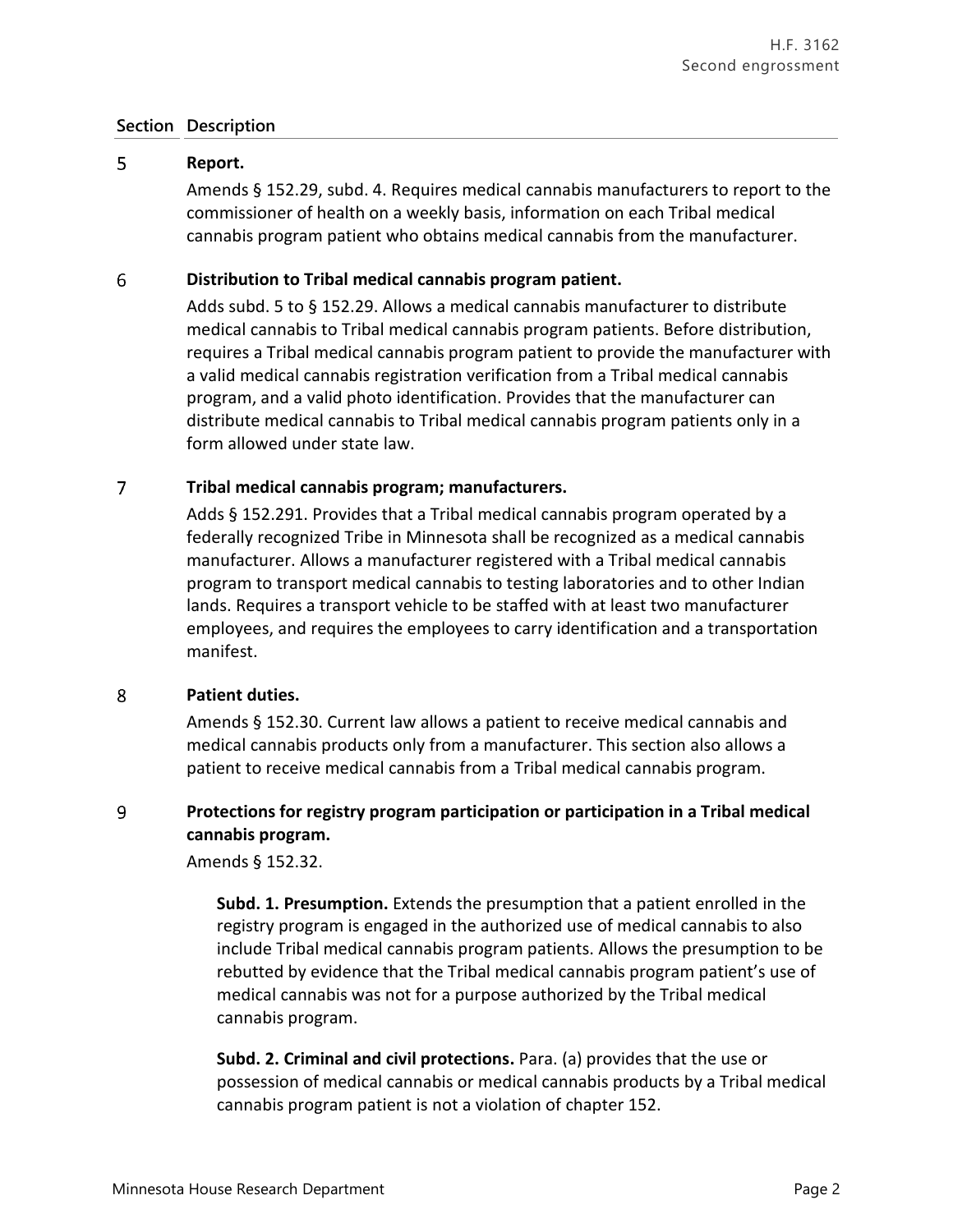### **Section Description**

#### 5 **Report.**

Amends § 152.29, subd. 4. Requires medical cannabis manufacturers to report to the commissioner of health on a weekly basis, information on each Tribal medical cannabis program patient who obtains medical cannabis from the manufacturer.

#### 6 **Distribution to Tribal medical cannabis program patient.**

Adds subd. 5 to § 152.29. Allows a medical cannabis manufacturer to distribute medical cannabis to Tribal medical cannabis program patients. Before distribution, requires a Tribal medical cannabis program patient to provide the manufacturer with a valid medical cannabis registration verification from a Tribal medical cannabis program, and a valid photo identification. Provides that the manufacturer can distribute medical cannabis to Tribal medical cannabis program patients only in a form allowed under state law.

#### $\overline{7}$ **Tribal medical cannabis program; manufacturers.**

Adds § 152.291. Provides that a Tribal medical cannabis program operated by a federally recognized Tribe in Minnesota shall be recognized as a medical cannabis manufacturer. Allows a manufacturer registered with a Tribal medical cannabis program to transport medical cannabis to testing laboratories and to other Indian lands. Requires a transport vehicle to be staffed with at least two manufacturer employees, and requires the employees to carry identification and a transportation manifest.

#### 8 **Patient duties.**

Amends § 152.30. Current law allows a patient to receive medical cannabis and medical cannabis products only from a manufacturer. This section also allows a patient to receive medical cannabis from a Tribal medical cannabis program.

### 9 **Protections for registry program participation or participation in a Tribal medical cannabis program.**

Amends § 152.32.

**Subd. 1. Presumption.** Extends the presumption that a patient enrolled in the registry program is engaged in the authorized use of medical cannabis to also include Tribal medical cannabis program patients. Allows the presumption to be rebutted by evidence that the Tribal medical cannabis program patient's use of medical cannabis was not for a purpose authorized by the Tribal medical cannabis program.

**Subd. 2. Criminal and civil protections.** Para. (a) provides that the use or possession of medical cannabis or medical cannabis products by a Tribal medical cannabis program patient is not a violation of chapter 152.